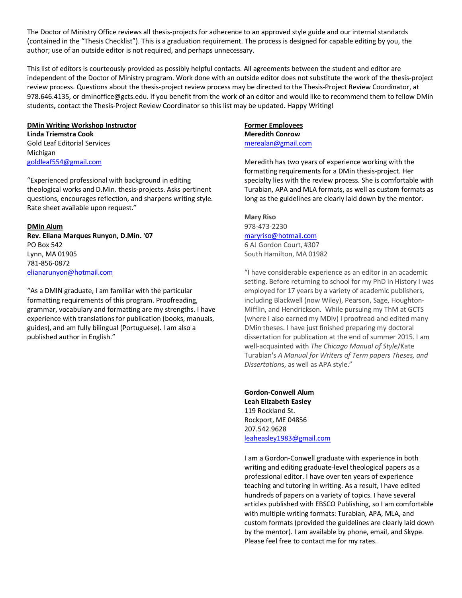The Doctor of Ministry Office reviews all thesis-projects for adherence to an approved style guide and our internal standards (contained in the "Thesis Checklist"). This is a graduation requirement. The process is designed for capable editing by you, the author; use of an outside editor is not required, and perhaps unnecessary.

This list of editors is courteously provided as possibly helpful contacts. All agreements between the student and editor are independent of the Doctor of Ministry program. Work done with an outside editor does not substitute the work of the thesis-project review process. Questions about the thesis-project review process may be directed to the Thesis-Project Review Coordinator, at 978.646.4135, or dminoffice@gcts.edu. If you benefit from the work of an editor and would like to recommend them to fellow DMin students, contact the Thesis-Project Review Coordinator so this list may be updated. Happy Writing!

#### **DMin Writing Workshop Instructor**

**Linda Triemstra Cook** Gold Leaf Editorial Services Michigan [goldleaf554@gmail.com](mailto:goldleaf554@gmail.com)

"Experienced professional with background in editing theological works and D.Min. thesis-projects. Asks pertinent questions, encourages reflection, and sharpens writing style. Rate sheet available upon request."

#### **DMin Alum**

**Rev. Eliana Marques Runyon, D.Min. '07** PO Box 542 Lynn, MA 01905 781-856-0872 [elianarunyon@hotmail.com](mailto:elianarunyon@hotmail.com)

"As a DMIN graduate, I am familiar with the particular formatting requirements of this program. Proofreading, grammar, vocabulary and formatting are my strengths. I have experience with translations for publication (books, manuals, guides), and am fully bilingual (Portuguese). I am also a published author in English."

# **Former Employees**

**Meredith Conrow** [merealan@gmail.com](mailto:merealan@gmail.com)

Meredith has two years of experience working with the formatting requirements for a DMin thesis-project. Her specialty lies with the review process. She is comfortable with Turabian, APA and MLA formats, as well as custom formats as long as the guidelines are clearly laid down by the mentor.

# **Mary Riso** 978-473-2230 [maryriso@hotmail.com](mailto:maryriso@hotmail.com) 6 AJ Gordon Court, #307

South Hamilton, MA 01982

"I have considerable experience as an editor in an academic setting. Before returning to school for my PhD in History I was employed for 17 years by a variety of academic publishers, including Blackwell (now Wiley), Pearson, Sage, Houghton-Mifflin, and Hendrickson. While pursuing my ThM at GCTS (where I also earned my MDiv) I proofread and edited many DMin theses. I have just finished preparing my doctoral dissertation for publication at the end of summer 2015. I am well-acquainted with *The Chicago Manual of Style*/Kate Turabian's *A Manual for Writers of Term papers Theses, and Dissertation*s, as well as APA style."

# **Gordon-Conwell Alum Leah Elizabeth Easley** 119 Rockland St. Rockport, ME 04856 207.542.9628 [leaheasley1983@gmail.com](mailto:leaheasley1983@gmail.com)

I am a Gordon-Conwell graduate with experience in both writing and editing graduate-level theological papers as a professional editor. I have over ten years of experience teaching and tutoring in writing. As a result, I have edited hundreds of papers on a variety of topics. I have several articles published with EBSCO Publishing, so I am comfortable with multiple writing formats: Turabian, APA, MLA, and custom formats (provided the guidelines are clearly laid down by the mentor). I am available by phone, email, and Skype. Please feel free to contact me for my rates.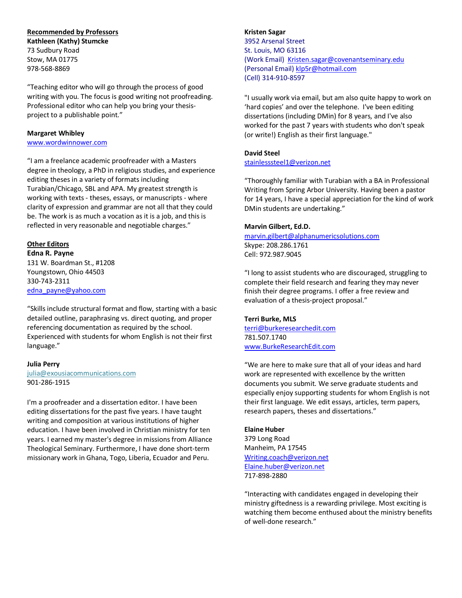## **Recommended by Professors**

**Kathleen (Kathy) Stumcke** 73 Sudbury Road Stow, MA 01775 978-568-8869

"Teaching editor who will go through the process of good writing with you. The focus is good writing not proofreading. Professional editor who can help you bring your thesisproject to a publishable point."

### **Margaret Whibley**

[www.wordwinnower.com](http://www.wordwinnower.com/)

"I am a freelance academic proofreader with a Masters degree in theology, a PhD in religious studies, and experience editing theses in a variety of formats including Turabian/Chicago, SBL and APA. My greatest strength is working with texts - theses, essays, or manuscripts - where clarity of expression and grammar are not all that they could be. The work is as much a vocation as it is a job, and this is reflected in very reasonable and negotiable charges."

## **Other Editors**

**Edna R. Payne** 131 W. Boardman St., #1208 Youngstown, Ohio 44503 330-743-2311 [edna\\_payne@yahoo.com](mailto:edna_payne@yahoo.com)

"Skills include structural format and flow, starting with a basic detailed outline, paraphrasing vs. direct quoting, and proper referencing documentation as required by the school. Experienced with students for whom English is not their first language."

#### **Julia Perry**

[julia@exousiacommunications.com](mailto:julia@exousiacommunications.com) 901-286-1915

I'm a proofreader and a dissertation editor. I have been editing dissertations for the past five years. I have taught writing and composition at various institutions of higher education. I have been involved in Christian ministry for ten years. I earned my master's degree in missions from Alliance Theological Seminary. Furthermore, I have done short-term missionary work in Ghana, Togo, Liberia, Ecuador and Peru.

# **Kristen Sagar** 3952 Arsenal Street St. Louis, MO 63116 (Work Email) [Kristen.sagar@covenantseminary.edu](mailto:Kristen.sagar@covenantseminary.edu) (Personal Email) [klp5r@hotmail.com](mailto:klp5r@hotmail.com) (Cell) 314-910-8597

"I usually work via email, but am also quite happy to work on 'hard copies' and over the telephone. I've been editing dissertations (including DMin) for 8 years, and I've also worked for the past 7 years with students who don't speak (or write!) English as their first language."

# **David Steel**

# [stainlesssteel1@verizon.net](mailto:stainlesssteel1@verizon.net)

"Thoroughly familiar with Turabian with a BA in Professional Writing from Spring Arbor University. Having been a pastor for 14 years, I have a special appreciation for the kind of work DMin students are undertaking."

## **Marvin Gilbert, Ed.D.**

[marvin.gilbert@alphanumericsolutions.com](mailto:marvin.gilbert@alphanumericsolutions.com) Skype: 208.286.1761 Cell: 972.987.9045

"I long to assist students who are discouraged, struggling to complete their field research and fearing they may never finish their degree programs. I offer a free review and evaluation of a thesis-project proposal."

# **Terri Burke, MLS**

[terri@burkeresearchedit.com](mailto:terri@burkeresearchedit.com) 781.507.1740 [www.BurkeResearchEdit.com](http://www.burkeresearchedit.com/)

"We are here to make sure that all of your ideas and hard work are represented with excellence by the written documents you submit. We serve graduate students and especially enjoy supporting students for whom English is not their first language. We edit essays, articles, term papers, research papers, theses and dissertations."

#### **Elaine Huber**

379 Long Road Manheim, PA 17545 [Writing.coach@verizon.net](mailto:Writing.coach@verizon.net) [Elaine.huber@verizon.net](mailto:Elaine.huber@verizon.net) 717-898-2880

"Interacting with candidates engaged in developing their ministry giftedness is a rewarding privilege. Most exciting is watching them become enthused about the ministry benefits of well-done research."